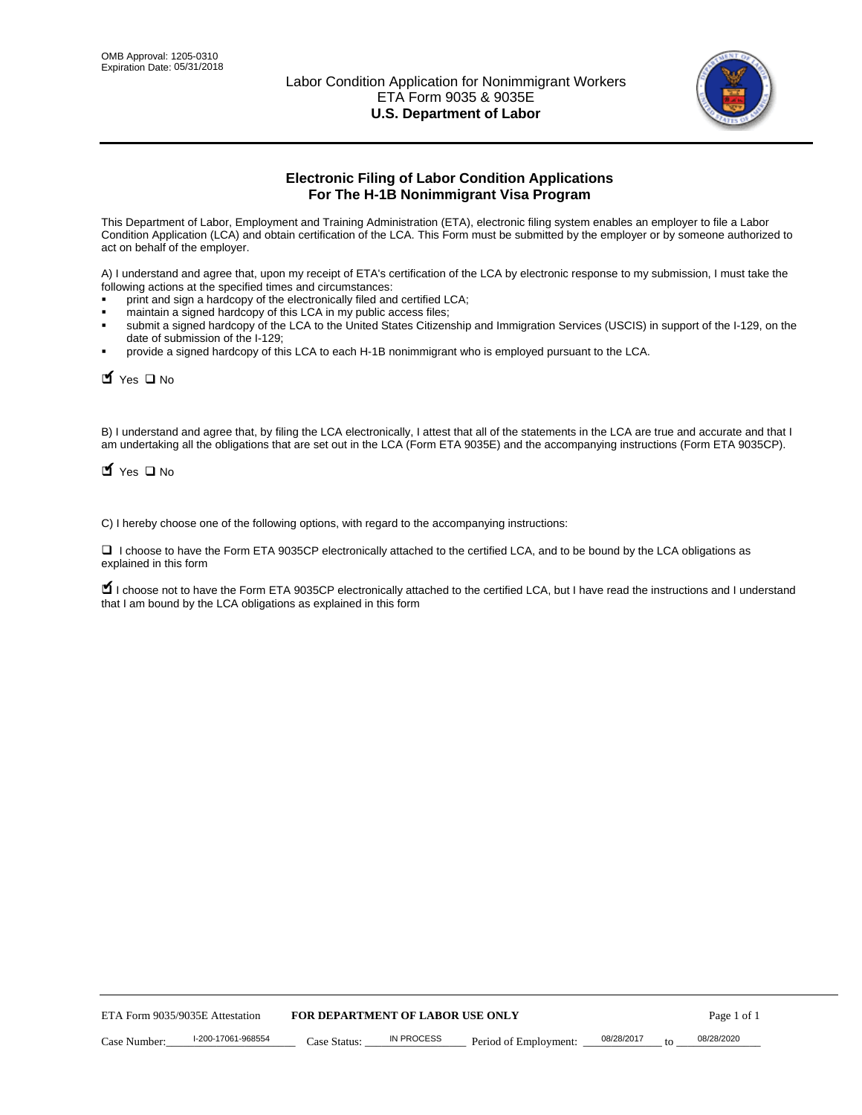

# **Electronic Filing of Labor Condition Applications For The H-1B Nonimmigrant Visa Program**

This Department of Labor, Employment and Training Administration (ETA), electronic filing system enables an employer to file a Labor Condition Application (LCA) and obtain certification of the LCA. This Form must be submitted by the employer or by someone authorized to act on behalf of the employer.

A) I understand and agree that, upon my receipt of ETA's certification of the LCA by electronic response to my submission, I must take the following actions at the specified times and circumstances:

- print and sign a hardcopy of the electronically filed and certified LCA;
- maintain a signed hardcopy of this LCA in my public access files;
- submit a signed hardcopy of the LCA to the United States Citizenship and Immigration Services (USCIS) in support of the I-129, on the date of submission of the I-129;
- provide a signed hardcopy of this LCA to each H-1B nonimmigrant who is employed pursuant to the LCA.

| Yes O No                                                                                                                                                                                                                                                                                                              |                                  |                   |                       |                  |             |
|-----------------------------------------------------------------------------------------------------------------------------------------------------------------------------------------------------------------------------------------------------------------------------------------------------------------------|----------------------------------|-------------------|-----------------------|------------------|-------------|
| B) I understand and agree that, by filing the LCA electronically, I attest that all of the statements in the LCA are true and accurate and th<br>am undertaking all the obligations that are set out in the LCA (Form ETA 9035E) and the accompanying instructions (Form ETA 9035C<br>$\blacksquare$ Yes $\square$ No |                                  |                   |                       |                  |             |
| C) I hereby choose one of the following options, with regard to the accompanying instructions:                                                                                                                                                                                                                        |                                  |                   |                       |                  |             |
| □ I choose to have the Form ETA 9035CP electronically attached to the certified LCA, and to be bound by the LCA obligations as<br>explained in this form                                                                                                                                                              |                                  |                   |                       |                  |             |
| I choose not to have the Form ETA 9035CP electronically attached to the certified LCA, but I have read the instructions and I unders<br>that I am bound by the LCA obligations as explained in this form                                                                                                              |                                  |                   |                       |                  |             |
|                                                                                                                                                                                                                                                                                                                       |                                  |                   |                       |                  |             |
|                                                                                                                                                                                                                                                                                                                       |                                  |                   |                       |                  |             |
|                                                                                                                                                                                                                                                                                                                       |                                  |                   |                       |                  |             |
|                                                                                                                                                                                                                                                                                                                       |                                  |                   |                       |                  |             |
|                                                                                                                                                                                                                                                                                                                       |                                  |                   |                       |                  |             |
|                                                                                                                                                                                                                                                                                                                       |                                  |                   |                       |                  |             |
|                                                                                                                                                                                                                                                                                                                       |                                  |                   |                       |                  |             |
|                                                                                                                                                                                                                                                                                                                       |                                  |                   |                       |                  |             |
|                                                                                                                                                                                                                                                                                                                       |                                  |                   |                       |                  |             |
|                                                                                                                                                                                                                                                                                                                       |                                  |                   |                       |                  |             |
| ETA Form 9035/9035E Attestation                                                                                                                                                                                                                                                                                       | FOR DEPARTMENT OF LABOR USE ONLY |                   |                       |                  | Page 1 of 1 |
| I-200-17061-968554<br>Case Number:                                                                                                                                                                                                                                                                                    | Case Status:                     | <b>IN PROCESS</b> | Period of Employment: | 08/28/2017<br>to | 08/28/2020  |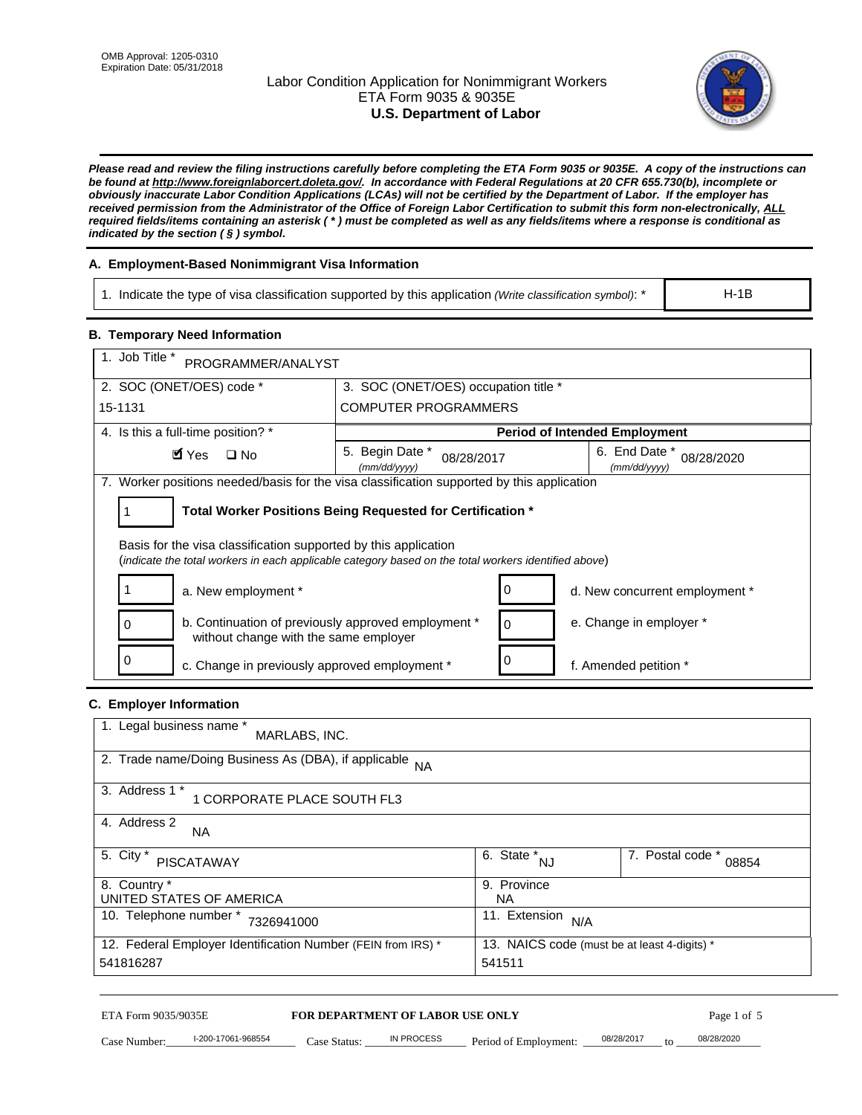# Labor Condition Application for Nonimmigrant Workers ETA Form 9035 & 9035E **U.S. Department of Labor**



*Please read and review the filing instructions carefully before completing the ETA Form 9035 or 9035E. A copy of the instructions can be found at http://www.foreignlaborcert.doleta.gov/. In accordance with Federal Regulations at 20 CFR 655.730(b), incomplete or obviously inaccurate Labor Condition Applications (LCAs) will not be certified by the Department of Labor. If the employer has received permission from the Administrator of the Office of Foreign Labor Certification to submit this form non-electronically, ALL required fields/items containing an asterisk ( \* ) must be completed as well as any fields/items where a response is conditional as indicated by the section ( § ) symbol.* 

# **A. Employment-Based Nonimmigrant Visa Information**

1. Indicate the type of visa classification supported by this application *(Write classification symbol)*: \*

# **B. Temporary Need Information**

| <b>B. Temporary Need Information</b>                                                                                                                                    |                                                            |                                              |  |  |
|-------------------------------------------------------------------------------------------------------------------------------------------------------------------------|------------------------------------------------------------|----------------------------------------------|--|--|
| 1. Job Title *<br>PROGRAMMER/ANALYST                                                                                                                                    |                                                            |                                              |  |  |
| 2. SOC (ONET/OES) code *                                                                                                                                                | 3. SOC (ONET/OES) occupation title *                       |                                              |  |  |
| 15-1131                                                                                                                                                                 | <b>COMPUTER PROGRAMMERS</b>                                |                                              |  |  |
| 4. Is this a full-time position? *                                                                                                                                      |                                                            | <b>Period of Intended Employment</b>         |  |  |
| $\blacksquare$ Yes<br>$\square$ No                                                                                                                                      | 5. Begin Date *<br>08/28/2017<br>(mm/dd/yyyy)              | 6. End Date *<br>08/28/2020<br>(mm/dd/yyyy)  |  |  |
| 7. Worker positions needed/basis for the visa classification supported by this application                                                                              |                                                            |                                              |  |  |
| 1                                                                                                                                                                       | Total Worker Positions Being Requested for Certification * |                                              |  |  |
| Basis for the visa classification supported by this application<br>(indicate the total workers in each applicable category based on the total workers identified above) |                                                            |                                              |  |  |
| 1<br>a. New employment *                                                                                                                                                | 0                                                          | d. New concurrent employment *               |  |  |
| b. Continuation of previously approved employment *<br>0<br>without change with the same employer                                                                       | 0                                                          | e. Change in employer *                      |  |  |
| 0<br>c. Change in previously approved employment *                                                                                                                      | 0                                                          | f. Amended petition *                        |  |  |
| C. Employer Information                                                                                                                                                 |                                                            |                                              |  |  |
| 1. Legal business name *<br>MARLABS, INC.                                                                                                                               |                                                            |                                              |  |  |
| 2. Trade name/Doing Business As (DBA), if applicable                                                                                                                    | <b>NA</b>                                                  |                                              |  |  |
| 3. Address 1 *<br>1 CORPORATE PLACE SOUTH FL3                                                                                                                           |                                                            |                                              |  |  |
| 4. Address 2<br>NA.                                                                                                                                                     |                                                            |                                              |  |  |
| 5. City *<br><b>PISCATAWAY</b>                                                                                                                                          | $\overline{6. \text{ State}}^*_{NJ}$                       | 7. Postal code *<br>08854                    |  |  |
| 8. Country *<br>UNITED STATES OF AMERICA                                                                                                                                | 9. Province<br><b>NA</b>                                   |                                              |  |  |
| 10. Telephone number * 7326941000                                                                                                                                       | 11. Extension $N/A$                                        |                                              |  |  |
| 12. Federal Employer Identification Number (FEIN from IRS) *<br>541816287                                                                                               | 541511                                                     | 13. NAICS code (must be at least 4-digits) * |  |  |
|                                                                                                                                                                         |                                                            |                                              |  |  |
| ETA Form 9035/9035E                                                                                                                                                     | <b>FOR DEPARTMENT OF LABOR USE ONLY</b>                    | Page 1 of 5                                  |  |  |

# **C. Employer Information**

| 1. Legal business name *<br>MARLABS, INC.                    |                                              |                           |
|--------------------------------------------------------------|----------------------------------------------|---------------------------|
| 2. Trade name/Doing Business As (DBA), if applicable NA      |                                              |                           |
| 3. Address 1 *<br>1 CORPORATE PLACE SOUTH FL3                |                                              |                           |
| 4. Address 2<br><b>NA</b>                                    |                                              |                           |
| 5. City *<br><b>PISCATAWAY</b>                               | 6. State *<br><b>NJ</b>                      | 7. Postal code *<br>08854 |
| 8. Country *                                                 | 9. Province                                  |                           |
| UNITED STATES OF AMERICA                                     | NA.                                          |                           |
| 10. Telephone number *<br>7326941000                         | 11. Extension<br>N/A                         |                           |
| 12. Federal Employer Identification Number (FEIN from IRS) * | 13. NAICS code (must be at least 4-digits) * |                           |
| 541816287                                                    | 541511                                       |                           |

# ETA Form 9035/9035E **FOR DEPARTMENT OF LABOR USE ONLY** Page 1 of 5<br>Case Number: 1-200-17061-968554 Case Status: IN PROCESS Period of Employment: 08/28/2017 to 08/28/2020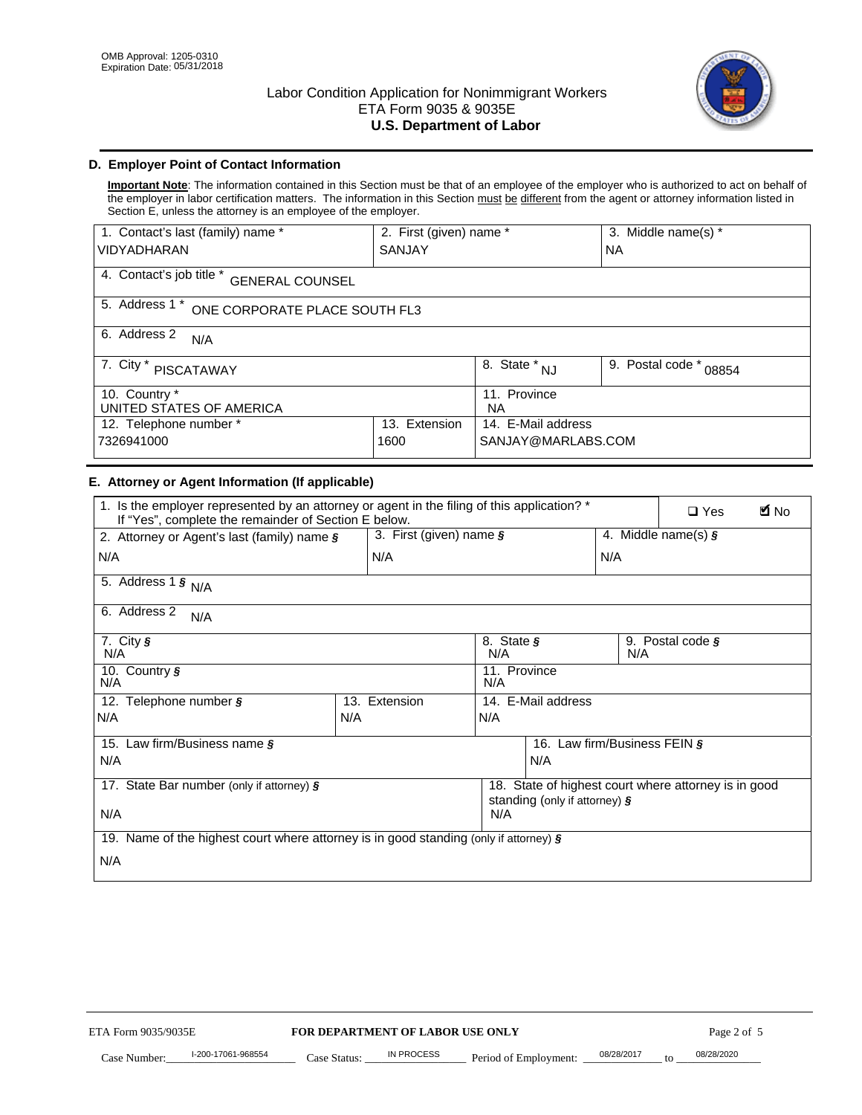

# **D. Employer Point of Contact Information**

**Important Note**: The information contained in this Section must be that of an employee of the employer who is authorized to act on behalf of the employer in labor certification matters. The information in this Section must be different from the agent or attorney information listed in Section E, unless the attorney is an employee of the employer.

| 1. Contact's last (family) name *                  | 2. First (given) name * |                                  | 3. Middle name(s) *       |  |
|----------------------------------------------------|-------------------------|----------------------------------|---------------------------|--|
| <b>VIDYADHARAN</b>                                 | <b>SANJAY</b>           |                                  | <b>NA</b>                 |  |
| 4. Contact's job title *<br><b>GENERAL COUNSEL</b> |                         |                                  |                           |  |
| 5. Address 1 *<br>ONE CORPORATE PLACE SOUTH FL3    |                         |                                  |                           |  |
| 6. Address 2<br>N/A                                |                         |                                  |                           |  |
| 7. City *<br><b>PISCATAWAY</b>                     |                         | $\overline{8}$ . State $*$<br>NJ | 9. Postal code *<br>08854 |  |
| 10. Country *<br>UNITED STATES OF AMERICA          |                         | 11. Province<br><b>NA</b>        |                           |  |
| 12. Telephone number *<br>Extension<br>13.         |                         | 14. E-Mail address               |                           |  |
| 7326941000<br>1600                                 |                         | SANJAY@MARLABS.COM               |                           |  |

# **E. Attorney or Agent Information (If applicable)**

| VIDYADHARAN                                                                                                                                         | SANJAY                                         |                                           |                                          | <b>NA</b>                    |                                                      |             |
|-----------------------------------------------------------------------------------------------------------------------------------------------------|------------------------------------------------|-------------------------------------------|------------------------------------------|------------------------------|------------------------------------------------------|-------------|
| 4. Contact's job title * GENERAL COUNSEL                                                                                                            |                                                |                                           |                                          |                              |                                                      |             |
| 5. Address 1 * ONE CORPORATE PLACE SOUTH FL3                                                                                                        |                                                |                                           |                                          |                              |                                                      |             |
| 6. Address 2<br>N/A                                                                                                                                 |                                                |                                           |                                          |                              |                                                      |             |
| 7. City * PISCATAWAY                                                                                                                                |                                                | $\overline{\phantom{a}}$ 8. State $^*$ NJ |                                          | 9. Postal code *             | 08854                                                |             |
| 10. Country *<br>UNITED STATES OF AMERICA                                                                                                           |                                                | 11. Province<br>NA                        |                                          |                              |                                                      |             |
| 12. Telephone number *<br>7326941000                                                                                                                | 13. Extension<br>1600                          |                                           | 14. E-Mail address<br>SANJAY@MARLABS.COM |                              |                                                      |             |
| E. Attorney or Agent Information (If applicable)                                                                                                    |                                                |                                           |                                          |                              |                                                      |             |
| 1. Is the employer represented by an attorney or agent in the filing of this application? *<br>If "Yes", complete the remainder of Section E below. |                                                |                                           |                                          |                              | $\Box$ Yes                                           | <b>M</b> No |
| 2. Attorney or Agent's last (family) name §                                                                                                         | 3. First (given) name §                        |                                           |                                          |                              | 4. Middle name(s) $\sqrt{s}$                         |             |
| N/A                                                                                                                                                 | N/A                                            |                                           |                                          | N/A                          |                                                      |             |
| 5. Address 1 $\frac{1}{9}$ N/A                                                                                                                      |                                                |                                           |                                          |                              |                                                      |             |
| 6. Address 2<br>N/A                                                                                                                                 |                                                |                                           |                                          |                              |                                                      |             |
| 7. City §<br>N/A                                                                                                                                    |                                                | 8. State §<br>N/A                         |                                          | N/A                          | 9. Postal code §                                     |             |
| 10. Country §<br>N/A                                                                                                                                |                                                | 11. Province<br>N/A                       |                                          |                              |                                                      |             |
| 12. Telephone number §                                                                                                                              | 13. Extension                                  | 14. E-Mail address                        |                                          |                              |                                                      |             |
| N/A                                                                                                                                                 | N/A                                            | N/A                                       |                                          |                              |                                                      |             |
| 15. Law firm/Business name §                                                                                                                        |                                                |                                           |                                          | 16. Law firm/Business FEIN § |                                                      |             |
| N/A                                                                                                                                                 |                                                |                                           | N/A                                      |                              |                                                      |             |
| 17. State Bar number (only if attorney) §                                                                                                           |                                                |                                           | standing (only if attorney) §            |                              | 18. State of highest court where attorney is in good |             |
| N/A                                                                                                                                                 |                                                | N/A                                       |                                          |                              |                                                      |             |
| 19. Name of the highest court where attorney is in good standing (only if attorney) §                                                               |                                                |                                           |                                          |                              |                                                      |             |
| N/A                                                                                                                                                 |                                                |                                           |                                          |                              |                                                      |             |
|                                                                                                                                                     |                                                |                                           |                                          |                              |                                                      |             |
|                                                                                                                                                     |                                                |                                           |                                          |                              |                                                      |             |
|                                                                                                                                                     |                                                |                                           |                                          |                              |                                                      |             |
|                                                                                                                                                     |                                                |                                           |                                          |                              |                                                      |             |
|                                                                                                                                                     |                                                |                                           |                                          |                              |                                                      |             |
|                                                                                                                                                     |                                                |                                           |                                          |                              |                                                      |             |
| ETA Form 9035/9035E                                                                                                                                 |                                                |                                           |                                          |                              | Page 2 of 5                                          |             |
| I-200-17061-968554                                                                                                                                  | FOR DEPARTMENT OF LABOR USE ONLY<br>IN PROCESS |                                           |                                          | 08/28/2017                   | 08/28/2020                                           |             |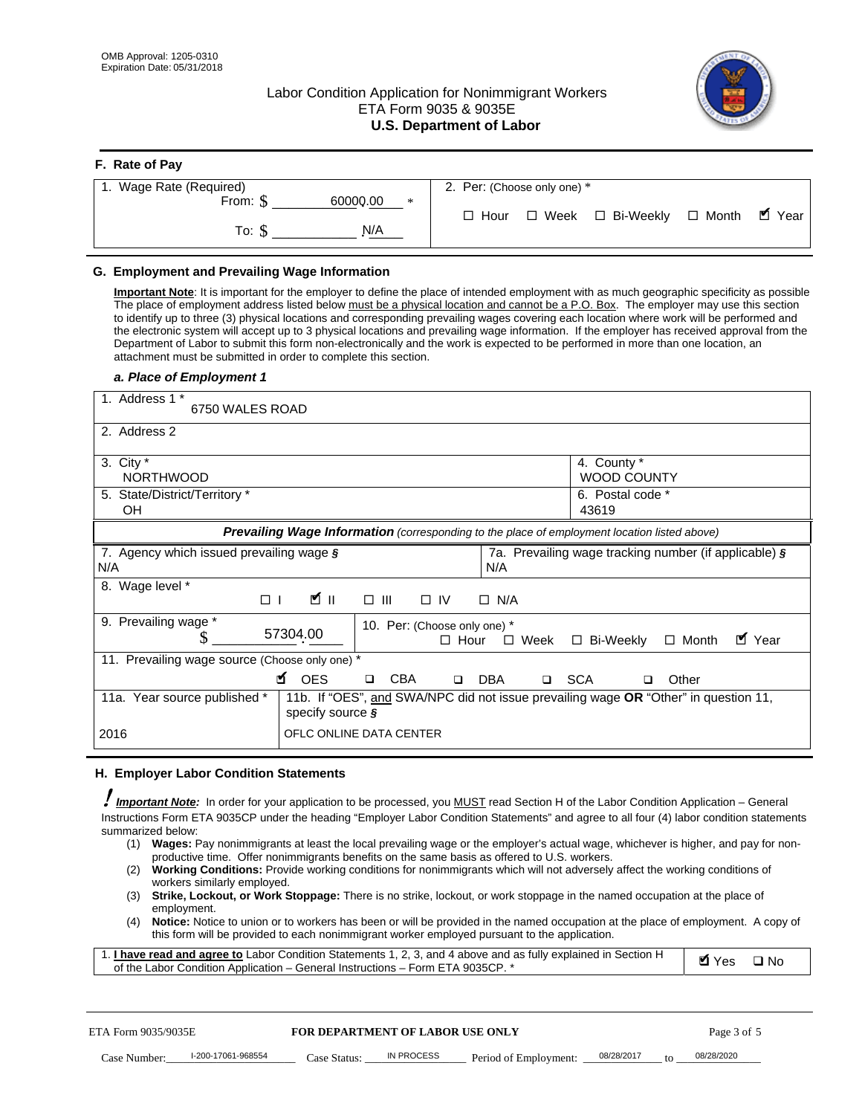**F. Rate of Pay** 

# Labor Condition Application for Nonimmigrant Workers ETA Form 9035 & 9035E **U.S. Department of Labor**



| <b>F.</b> Rate of Pay          |                                                               |
|--------------------------------|---------------------------------------------------------------|
| 1. Wage Rate (Required)        | 2. Per: (Choose only one) *                                   |
| 60000.00<br>From: \$<br>$\ast$ |                                                               |
| N/A<br>To: S                   | . ■ Year<br>□ Week □ Bi-Weekly<br>$\Box$ Month<br>$\Box$ Hour |

## **G. Employment and Prevailing Wage Information**

#### *a. Place of Employment 1*

|     | From: \$                                                                                                                                                                                                                                                                                                                                                                                                                                                                                                                                                                                                                                                                                                                                                                                                                                                              | 60000.00<br>$\ast$<br>To: $\S$<br>N/A                                                                                                                                                                                                                                                                                                                                                                                                                                                                                                                                                                                                                                                                                                | $\Box$ Hour |             |                       | $\Box$ Week $\Box$ Bi-Weekly    |                                                       | $\Box$ Month |             | $\blacksquare$ Year |
|-----|-----------------------------------------------------------------------------------------------------------------------------------------------------------------------------------------------------------------------------------------------------------------------------------------------------------------------------------------------------------------------------------------------------------------------------------------------------------------------------------------------------------------------------------------------------------------------------------------------------------------------------------------------------------------------------------------------------------------------------------------------------------------------------------------------------------------------------------------------------------------------|--------------------------------------------------------------------------------------------------------------------------------------------------------------------------------------------------------------------------------------------------------------------------------------------------------------------------------------------------------------------------------------------------------------------------------------------------------------------------------------------------------------------------------------------------------------------------------------------------------------------------------------------------------------------------------------------------------------------------------------|-------------|-------------|-----------------------|---------------------------------|-------------------------------------------------------|--------------|-------------|---------------------|
|     | G. Employment and Prevailing Wage Information<br>Important Note: It is important for the employer to define the place of intended employment with as much geographic specificity as possible<br>The place of employment address listed below must be a physical location and cannot be a P.O. Box. The employer may use this section<br>to identify up to three (3) physical locations and corresponding prevailing wages covering each location where work will be performed and<br>the electronic system will accept up to 3 physical locations and prevailing wage information. If the employer has received approval from the<br>Department of Labor to submit this form non-electronically and the work is expected to be performed in more than one location, an<br>attachment must be submitted in order to complete this section.<br>a. Place of Employment 1 |                                                                                                                                                                                                                                                                                                                                                                                                                                                                                                                                                                                                                                                                                                                                      |             |             |                       |                                 |                                                       |              |             |                     |
|     | 1. Address 1 *<br>6750 WALES ROAD                                                                                                                                                                                                                                                                                                                                                                                                                                                                                                                                                                                                                                                                                                                                                                                                                                     |                                                                                                                                                                                                                                                                                                                                                                                                                                                                                                                                                                                                                                                                                                                                      |             |             |                       |                                 |                                                       |              |             |                     |
|     | 2. Address 2                                                                                                                                                                                                                                                                                                                                                                                                                                                                                                                                                                                                                                                                                                                                                                                                                                                          |                                                                                                                                                                                                                                                                                                                                                                                                                                                                                                                                                                                                                                                                                                                                      |             |             |                       |                                 |                                                       |              |             |                     |
|     | 3. City $*$<br><b>NORTHWOOD</b><br>5. State/District/Territory *                                                                                                                                                                                                                                                                                                                                                                                                                                                                                                                                                                                                                                                                                                                                                                                                      |                                                                                                                                                                                                                                                                                                                                                                                                                                                                                                                                                                                                                                                                                                                                      |             |             |                       | 4. County *<br>6. Postal code * | <b>WOOD COUNTY</b>                                    |              |             |                     |
|     | OН                                                                                                                                                                                                                                                                                                                                                                                                                                                                                                                                                                                                                                                                                                                                                                                                                                                                    |                                                                                                                                                                                                                                                                                                                                                                                                                                                                                                                                                                                                                                                                                                                                      |             |             |                       | 43619                           |                                                       |              |             |                     |
|     |                                                                                                                                                                                                                                                                                                                                                                                                                                                                                                                                                                                                                                                                                                                                                                                                                                                                       | Prevailing Wage Information (corresponding to the place of employment location listed above)                                                                                                                                                                                                                                                                                                                                                                                                                                                                                                                                                                                                                                         |             |             |                       |                                 |                                                       |              |             |                     |
| N/A | 7. Agency which issued prevailing wage §                                                                                                                                                                                                                                                                                                                                                                                                                                                                                                                                                                                                                                                                                                                                                                                                                              |                                                                                                                                                                                                                                                                                                                                                                                                                                                                                                                                                                                                                                                                                                                                      |             | N/A         |                       |                                 | 7a. Prevailing wage tracking number (if applicable) § |              |             |                     |
|     | 8. Wage level *<br>$\Box$                                                                                                                                                                                                                                                                                                                                                                                                                                                                                                                                                                                                                                                                                                                                                                                                                                             | $\mathbf{K}$ II<br>$\Box$<br>III                                                                                                                                                                                                                                                                                                                                                                                                                                                                                                                                                                                                                                                                                                     | $\Box$ IV   | $\Box$ N/A  |                       |                                 |                                                       |              |             |                     |
|     | 9. Prevailing wage *<br>S                                                                                                                                                                                                                                                                                                                                                                                                                                                                                                                                                                                                                                                                                                                                                                                                                                             | 10. Per: (Choose only one) *<br>57304.00                                                                                                                                                                                                                                                                                                                                                                                                                                                                                                                                                                                                                                                                                             | $\Box$ Hour | $\Box$ Week |                       | □ Bi-Weekly                     |                                                       | $\Box$ Month | ■ Year      |                     |
|     | 11. Prevailing wage source (Choose only one) *                                                                                                                                                                                                                                                                                                                                                                                                                                                                                                                                                                                                                                                                                                                                                                                                                        | <b>¤</b> OES<br><b>CBA</b><br>$\Box$                                                                                                                                                                                                                                                                                                                                                                                                                                                                                                                                                                                                                                                                                                 | $\Box$      | DBA         | □ SCA                 |                                 | □                                                     | Other        |             |                     |
|     | 11a. Year source published *                                                                                                                                                                                                                                                                                                                                                                                                                                                                                                                                                                                                                                                                                                                                                                                                                                          | 11b. If "OES", and SWA/NPC did not issue prevailing wage OR "Other" in question 11,<br>specify source $\boldsymbol{\S}$                                                                                                                                                                                                                                                                                                                                                                                                                                                                                                                                                                                                              |             |             |                       |                                 |                                                       |              |             |                     |
|     | 2016                                                                                                                                                                                                                                                                                                                                                                                                                                                                                                                                                                                                                                                                                                                                                                                                                                                                  | OFLC ONLINE DATA CENTER                                                                                                                                                                                                                                                                                                                                                                                                                                                                                                                                                                                                                                                                                                              |             |             |                       |                                 |                                                       |              |             |                     |
|     | H. Employer Labor Condition Statements                                                                                                                                                                                                                                                                                                                                                                                                                                                                                                                                                                                                                                                                                                                                                                                                                                |                                                                                                                                                                                                                                                                                                                                                                                                                                                                                                                                                                                                                                                                                                                                      |             |             |                       |                                 |                                                       |              |             |                     |
|     | Important Note: In order for your application to be processed, you MUST read Section H of the Labor Condition Application - General<br>Instructions Form ETA 9035CP under the heading "Employer Labor Condition Statements" and agree to all four (4) labor condition statements<br>summarized below:<br>(1)<br>(2)<br>workers similarly employed.<br>(3)<br>employment.<br>(4)<br>1. <i>I have read and agree to</i> Labor Condition Statements 1, 2, 3, and 4 above and as fully explained in Section H<br>of the Labor Condition Application - General Instructions - Form ETA 9035CP. *                                                                                                                                                                                                                                                                           | Wages: Pay nonimmigrants at least the local prevailing wage or the employer's actual wage, whichever is higher, and pay for non-<br>productive time. Offer nonimmigrants benefits on the same basis as offered to U.S. workers.<br><b>Working Conditions:</b> Provide working conditions for nonimmigrants which will not adversely affect the working conditions of<br>Strike, Lockout, or Work Stoppage: There is no strike, lockout, or work stoppage in the named occupation at the place of<br>Notice: Notice to union or to workers has been or will be provided in the named occupation at the place of employment. A copy of<br>this form will be provided to each nonimmigrant worker employed pursuant to the application. |             |             |                       |                                 |                                                       | <b>Ø</b> Yes |             | $\square$ No        |
|     | ETA Form 9035/9035E                                                                                                                                                                                                                                                                                                                                                                                                                                                                                                                                                                                                                                                                                                                                                                                                                                                   | <b>FOR DEPARTMENT OF LABOR USE ONLY</b>                                                                                                                                                                                                                                                                                                                                                                                                                                                                                                                                                                                                                                                                                              |             |             |                       |                                 |                                                       |              | Page 3 of 5 |                     |
|     | I-200-17061-968554<br>Case Number:                                                                                                                                                                                                                                                                                                                                                                                                                                                                                                                                                                                                                                                                                                                                                                                                                                    | IN PROCESS<br>Case Status: .                                                                                                                                                                                                                                                                                                                                                                                                                                                                                                                                                                                                                                                                                                         |             |             | Period of Employment: | 08/28/2017                      |                                                       | 08/28/2020   |             |                     |

#### **H. Employer Labor Condition Statements**

- (1) **Wages:** Pay nonimmigrants at least the local prevailing wage or the employer's actual wage, whichever is higher, and pay for nonproductive time. Offer nonimmigrants benefits on the same basis as offered to U.S. workers.
- (2) **Working Conditions:** Provide working conditions for nonimmigrants which will not adversely affect the working conditions of workers similarly employed.
- (3) **Strike, Lockout, or Work Stoppage:** There is no strike, lockout, or work stoppage in the named occupation at the place of employment.
- (4) **Notice:** Notice to union or to workers has been or will be provided in the named occupation at the place of employment. A copy of this form will be provided to each nonimmigrant worker employed pursuant to the application.

| 1. I have read and agree to Labor Condition Statements 1, 2, 3, and 4 above and as fully explained in Section H | $\blacksquare$ Yes $\square$ No |  |
|-----------------------------------------------------------------------------------------------------------------|---------------------------------|--|
| of the Labor Condition Application – General Instructions – Form ETA 9035CP. *                                  |                                 |  |

|              | ETA Form 9035/9035E |              | <b>FOR DEPARTMENT OF LABOR USE ONLY</b> |                                      |  | Page 3 of 5 |
|--------------|---------------------|--------------|-----------------------------------------|--------------------------------------|--|-------------|
| Case Number: | l-200-17061-968554  | Case Status: | IN PROCESS                              | Period of Employment: ____08/28/2017 |  | 08/28/2020  |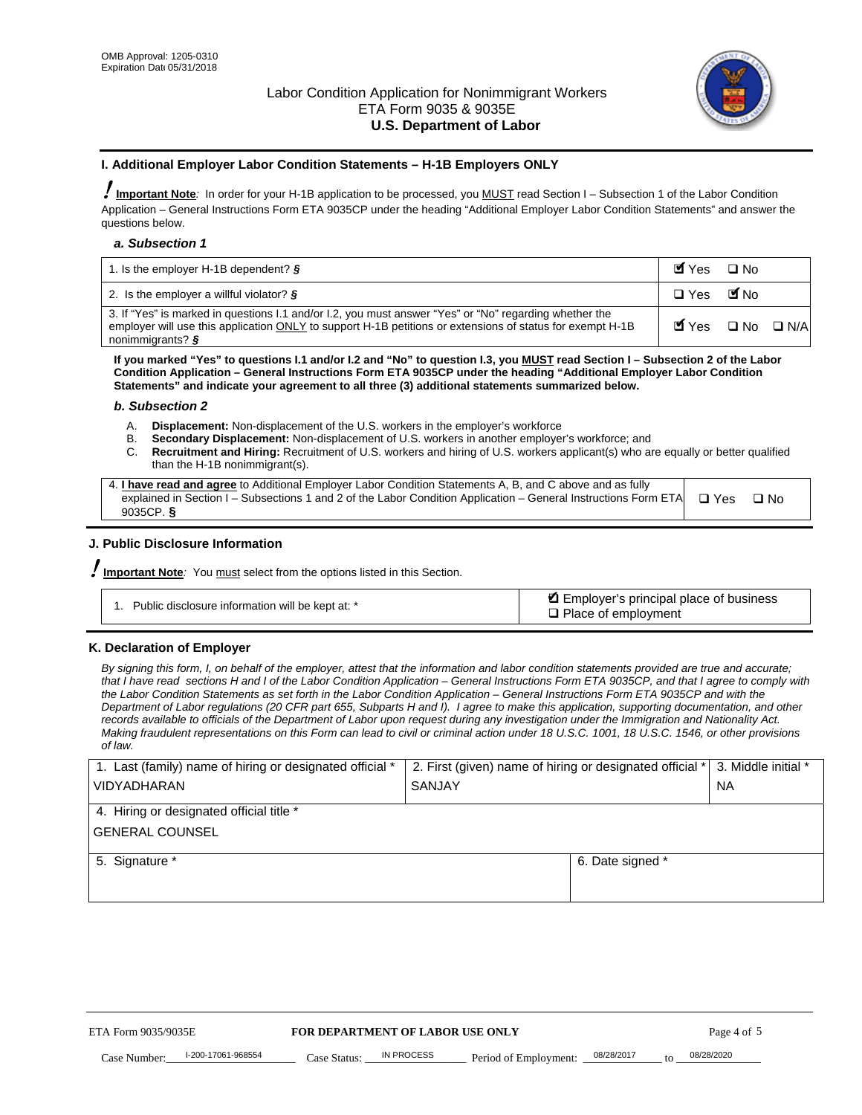

#### **I. Additional Employer Labor Condition Statements – H-1B Employers ONLY**

!**Important Note***:* In order for your H-1B application to be processed, you MUST read Section I – Subsection 1 of the Labor Condition Application – General Instructions Form ETA 9035CP under the heading "Additional Employer Labor Condition Statements" and answer the questions below.

#### *a. Subsection 1*

| 1. Is the employer H-1B dependent? $\S$                                                                                                                                                                                                 | Myes                                          | $\Box$ No              |  |
|-----------------------------------------------------------------------------------------------------------------------------------------------------------------------------------------------------------------------------------------|-----------------------------------------------|------------------------|--|
| 2. Is the employer a willful violator? $\frac{1}{2}$                                                                                                                                                                                    | $\Box$ Yes                                    | <b>M</b> <sub>No</sub> |  |
| 3. If "Yes" is marked in questions 1.1 and/or 1.2, you must answer "Yes" or "No" regarding whether the<br>employer will use this application ONLY to support H-1B petitions or extensions of status for exempt H-1B<br>nonimmigrants? § | $\blacksquare$ Yes $\square$ No $\square$ N/A |                        |  |

**If you marked "Yes" to questions I.1 and/or I.2 and "No" to question I.3, you MUST read Section I – Subsection 2 of the Labor Condition Application – General Instructions Form ETA 9035CP under the heading "Additional Employer Labor Condition Statements" and indicate your agreement to all three (3) additional statements summarized below.** 

#### *b. Subsection 2*

- A. **Displacement:** Non-displacement of the U.S. workers in the employer's workforce
- B. **Secondary Displacement:** Non-displacement of U.S. workers in another employer's workforce; and
- C. **Recruitment and Hiring:** Recruitment of U.S. workers and hiring of U.S. workers applicant(s) who are equally or better qualified than the H-1B nonimmigrant(s).

| 4. I have read and agree to Additional Employer Labor Condition Statements A, B, and C above and as fully                  |      |
|----------------------------------------------------------------------------------------------------------------------------|------|
| explained in Section I – Subsections 1 and 2 of the Labor Condition Application – General Instructions Form ETA $\Box$ Yes | ∩ N∩ |
| 9035CP. $\delta$                                                                                                           |      |

# **J. Public Disclosure Information**

!**Important Note***:* You must select from the options listed in this Section.

| Public disclosure information will be kept at: * | Employer's principal place of business<br>$\Box$ Place of employment |
|--------------------------------------------------|----------------------------------------------------------------------|
|--------------------------------------------------|----------------------------------------------------------------------|

#### **K. Declaration of Employer**

*By signing this form, I, on behalf of the employer, attest that the information and labor condition statements provided are true and accurate;*  that I have read sections H and I of the Labor Condition Application – General Instructions Form ETA 9035CP, and that I agree to comply with *the Labor Condition Statements as set forth in the Labor Condition Application – General Instructions Form ETA 9035CP and with the Department of Labor regulations (20 CFR part 655, Subparts H and I). I agree to make this application, supporting documentation, and other records available to officials of the Department of Labor upon request during any investigation under the Immigration and Nationality Act. Making fraudulent representations on this Form can lead to civil or criminal action under 18 U.S.C. 1001, 18 U.S.C. 1546, or other provisions of law.* 

| 1. Last (family) name of hiring or designated official * | 2. First (given) name of hiring or designated official * |                                 | 3. Middle initial * |
|----------------------------------------------------------|----------------------------------------------------------|---------------------------------|---------------------|
| <b>VIDYADHARAN</b>                                       | <b>SANJAY</b>                                            |                                 | <b>NA</b>           |
| 4. Hiring or designated official title *                 |                                                          |                                 |                     |
| <b>GENERAL COUNSEL</b>                                   |                                                          |                                 |                     |
| 5. Signature *                                           |                                                          | 6. Date signed *                |                     |
|                                                          |                                                          |                                 |                     |
|                                                          |                                                          |                                 |                     |
|                                                          |                                                          |                                 |                     |
|                                                          |                                                          |                                 |                     |
| FOR DEPARTMENT OF LABOR USE ONLY<br>ETA Form 9035/9035E  |                                                          |                                 | Page 4 of 5         |
| I-200-17061-968554<br>Case Number<br>Case Status:        | IN PROCESS<br>Period of Employment:                      | 08/28/2017<br>$\mathsf{t} \cap$ | 08/28/2020          |